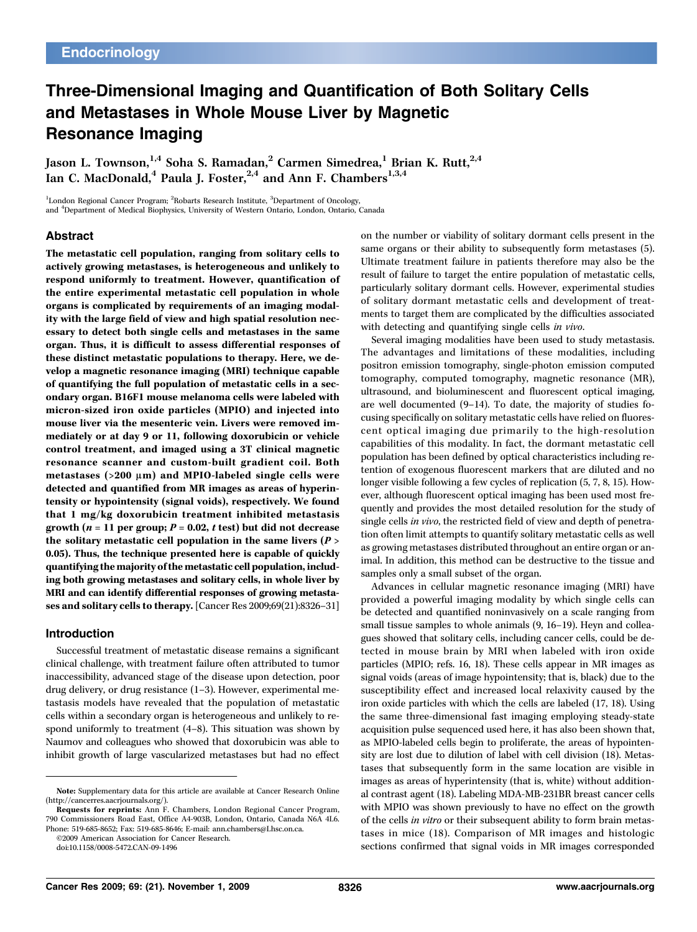# Three-Dimensional Imaging and Quantification of Both Solitary Cells and Metastases in Whole Mouse Liver by Magnetic Resonance Imaging

Jason L. Townson,<sup>1,4</sup> Soha S. Ramadan,<sup>2</sup> Carmen Simedrea,<sup>1</sup> Brian K. Rutt,<sup>2,4</sup> Ian C. MacDonald,<sup>4</sup> Paula J. Foster,<sup>2,4</sup> and Ann F. Chambers<sup>1,3,4</sup>

<sup>1</sup>London Regional Cancer Program; <sup>2</sup>Robarts Research Institute, <sup>3</sup>Department of Oncology, and <sup>4</sup>Department of Medical Biophysics, University of Western Ontario, London, Ontario, Canada

#### Abstract

The metastatic cell population, ranging from solitary cells to actively growing metastases, is heterogeneous and unlikely to respond uniformly to treatment. However, quantification of the entire experimental metastatic cell population in whole organs is complicated by requirements of an imaging modality with the large field of view and high spatial resolution necessary to detect both single cells and metastases in the same organ. Thus, it is difficult to assess differential responses of these distinct metastatic populations to therapy. Here, we develop a magnetic resonance imaging (MRI) technique capable of quantifying the full population of metastatic cells in a secondary organ. B16F1 mouse melanoma cells were labeled with micron-sized iron oxide particles (MPIO) and injected into mouse liver via the mesenteric vein. Livers were removed immediately or at day 9 or 11, following doxorubicin or vehicle control treatment, and imaged using a 3T clinical magnetic resonance scanner and custom-built gradient coil. Both metastases ( $>200 \mu m$ ) and MPIO-labeled single cells were detected and quantified from MRimages as areas of hyperintensity or hypointensity (signal voids), respectively. We found that 1 mg/kg doxorubicin treatment inhibited metastasis growth ( $n = 11$  per group;  $P = 0.02$ , t test) but did not decrease the solitary metastatic cell population in the same livers  $(P >$ 0.05). Thus, the technique presented here is capable of quickly quantifying the majority of the metastatic cell population, including both growing metastases and solitary cells, in whole liver by MRI and can identify differential responses of growing metastases and solitary cells to therapy. [Cancer Res 2009;69(21):8326–31]

#### Introduction

Successful treatment of metastatic disease remains a significant clinical challenge, with treatment failure often attributed to tumor inaccessibility, advanced stage of the disease upon detection, poor drug delivery, or drug resistance (1–3). However, experimental metastasis models have revealed that the population of metastatic cells within a secondary organ is heterogeneous and unlikely to respond uniformly to treatment (4–8). This situation was shown by Naumov and colleagues who showed that doxorubicin was able to inhibit growth of large vascularized metastases but had no effect

on the number or viability of solitary dormant cells present in the same organs or their ability to subsequently form metastases (5). Ultimate treatment failure in patients therefore may also be the result of failure to target the entire population of metastatic cells, particularly solitary dormant cells. However, experimental studies of solitary dormant metastatic cells and development of treatments to target them are complicated by the difficulties associated with detecting and quantifying single cells in vivo.

Several imaging modalities have been used to study metastasis. The advantages and limitations of these modalities, including positron emission tomography, single-photon emission computed tomography, computed tomography, magnetic resonance (MR), ultrasound, and bioluminescent and fluorescent optical imaging, are well documented (9–14). To date, the majority of studies focusing specifically on solitary metastatic cells have relied on fluorescent optical imaging due primarily to the high-resolution capabilities of this modality. In fact, the dormant metastatic cell population has been defined by optical characteristics including retention of exogenous fluorescent markers that are diluted and no longer visible following a few cycles of replication (5, 7, 8, 15). However, although fluorescent optical imaging has been used most frequently and provides the most detailed resolution for the study of single cells in vivo, the restricted field of view and depth of penetration often limit attempts to quantify solitary metastatic cells as well as growing metastases distributed throughout an entire organ or animal. In addition, this method can be destructive to the tissue and samples only a small subset of the organ.

Advances in cellular magnetic resonance imaging (MRI) have provided a powerful imaging modality by which single cells can be detected and quantified noninvasively on a scale ranging from small tissue samples to whole animals (9, 16–19). Heyn and colleagues showed that solitary cells, including cancer cells, could be detected in mouse brain by MRI when labeled with iron oxide particles (MPIO; refs. 16, 18). These cells appear in MR images as signal voids (areas of image hypointensity; that is, black) due to the susceptibility effect and increased local relaxivity caused by the iron oxide particles with which the cells are labeled (17, 18). Using the same three-dimensional fast imaging employing steady-state acquisition pulse sequenced used here, it has also been shown that, as MPIO-labeled cells begin to proliferate, the areas of hypointensity are lost due to dilution of label with cell division (18). Metastases that subsequently form in the same location are visible in images as areas of hyperintensity (that is, white) without additional contrast agent (18). Labeling MDA-MB-231BR breast cancer cells with MPIO was shown previously to have no effect on the growth of the cells in vitro or their subsequent ability to form brain metastases in mice (18). Comparison of MR images and histologic sections confirmed that signal voids in MR images corresponded

Note: Supplementary data for this article are available at Cancer Research Online (http://cancerres.aacrjournals.org/).

Requests for reprints: Ann F. Chambers, London Regional Cancer Program, 790 Commissioners Road East, Office A4-903B, London, Ontario, Canada N6A 4L6. Phone: 519-685-8652; Fax: 519-685-8646; E-mail: ann.chambers@Lhsc.on.ca.

<sup>©2009</sup> American Association for Cancer Research.

doi:10.1158/0008-5472.CAN-09-1496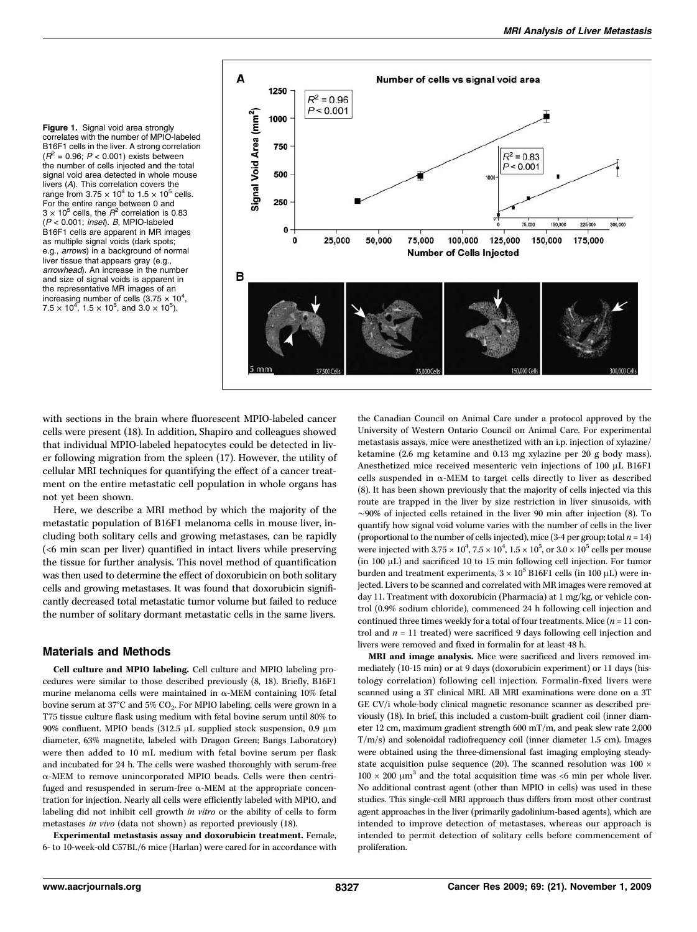Figure 1. Signal void area strongly correlates with the number of MPIO-labeled B16F1 cells in the liver. A strong correlation  $(R^2 = 0.96; P < 0.001)$  exists between the number of cells injected and the total signal void area detected in whole mouse livers (A). This correlation covers the range from  $3.75 \times 10^4$  to  $1.5 \times 10^5$  cells. For the entire range between 0 and  $3 \times 10^5$  cells, the  $\overline{R}^2$  correlation is 0.83  $(P < 0.001$ ; inset). B, MPIO-labeled B16F1 cells are apparent in MR images as multiple signal voids (dark spots; e.g., arrows) in a background of normal liver tissue that appears gray (e.g., arrowhead). An increase in the number and size of signal voids is apparent in the representative MR images of an increasing number of cells  $(3.75 \times 10^4,$  $7.5 \times 10^4$ ,  $1.5 \times 10^5$ , and  $3.0 \times 10^5$ ).



with sections in the brain where fluorescent MPIO-labeled cancer cells were present (18). In addition, Shapiro and colleagues showed that individual MPIO-labeled hepatocytes could be detected in liver following migration from the spleen (17). However, the utility of cellular MRI techniques for quantifying the effect of a cancer treatment on the entire metastatic cell population in whole organs has not yet been shown.

Here, we describe a MRI method by which the majority of the metastatic population of B16F1 melanoma cells in mouse liver, including both solitary cells and growing metastases, can be rapidly (<6 min scan per liver) quantified in intact livers while preserving the tissue for further analysis. This novel method of quantification was then used to determine the effect of doxorubicin on both solitary cells and growing metastases. It was found that doxorubicin significantly decreased total metastatic tumor volume but failed to reduce the number of solitary dormant metastatic cells in the same livers.

### Materials and Methods

Cell culture and MPIO labeling. Cell culture and MPIO labeling procedures were similar to those described previously (8, 18). Briefly, B16F1 murine melanoma cells were maintained in  $α$ -MEM containing 10% fetal bovine serum at 37°C and 5% CO2. For MPIO labeling, cells were grown in a T75 tissue culture flask using medium with fetal bovine serum until 80% to 90% confluent. MPIO beads (312.5 μL supplied stock suspension, 0.9 μm diameter, 63% magnetite, labeled with Dragon Green; Bangs Laboratory) were then added to 10 mL medium with fetal bovine serum per flask and incubated for 24 h. The cells were washed thoroughly with serum-free α-MEM to remove unincorporated MPIO beads. Cells were then centrifuged and resuspended in serum-free α-MEM at the appropriate concentration for injection. Nearly all cells were efficiently labeled with MPIO, and labeling did not inhibit cell growth in vitro or the ability of cells to form metastases in vivo (data not shown) as reported previously (18).

Experimental metastasis assay and doxorubicin treatment. Female, 6- to 10-week-old C57BL/6 mice (Harlan) were cared for in accordance with the Canadian Council on Animal Care under a protocol approved by the University of Western Ontario Council on Animal Care. For experimental metastasis assays, mice were anesthetized with an i.p. injection of xylazine/ ketamine (2.6 mg ketamine and 0.13 mg xylazine per 20 g body mass). Anesthetized mice received mesenteric vein injections of 100 μL B16F1 cells suspended in α-MEM to target cells directly to liver as described (8). It has been shown previously that the majority of cells injected via this route are trapped in the liver by size restriction in liver sinusoids, with ∼90% of injected cells retained in the liver 90 min after injection (8). To quantify how signal void volume varies with the number of cells in the liver (proportional to the number of cells injected), mice  $(3-4$  per group; total  $n = 14$ ) were injected with 3.75  $\times$   $10^4$ ,  $7.5$   $\times$   $10^4$ ,  $1.5$   $\times$   $10^5$ , or 3.0  $\times$   $10^5$  cells per mouse (in 100 μL) and sacrificed 10 to 15 min following cell injection. For tumor burden and treatment experiments,  $3 \times 10^5$  B16F1 cells (in 100 µL) were injected. Livers to be scanned and correlated with MR images were removed at day 11. Treatment with doxorubicin (Pharmacia) at 1 mg/kg, or vehicle control (0.9% sodium chloride), commenced 24h following cell injection and continued three times weekly for a total of four treatments. Mice  $(n = 11 \text{ con-}$ trol and  $n = 11$  treated) were sacrificed 9 days following cell injection and livers were removed and fixed in formalin for at least 48 h.

MRI and image analysis. Mice were sacrificed and livers removed immediately (10-15 min) or at 9 days (doxorubicin experiment) or 11 days (histology correlation) following cell injection. Formalin-fixed livers were scanned using a 3T clinical MRI. All MRI examinations were done on a 3T GE CV/i whole-body clinical magnetic resonance scanner as described previously (18). In brief, this included a custom-built gradient coil (inner diameter 12 cm, maximum gradient strength 600 mT/m, and peak slew rate 2,000 T/m/s) and solenoidal radiofrequency coil (inner diameter 1.5 cm). Images were obtained using the three-dimensional fast imaging employing steadystate acquisition pulse sequence (20). The scanned resolution was  $100 \times$  $100 \times 200 \mu m^3$  and the total acquisition time was <6 min per whole liver. No additional contrast agent (other than MPIO in cells) was used in these studies. This single-cell MRI approach thus differs from most other contrast agent approaches in the liver (primarily gadolinium-based agents), which are intended to improve detection of metastases, whereas our approach is intended to permit detection of solitary cells before commencement of proliferation.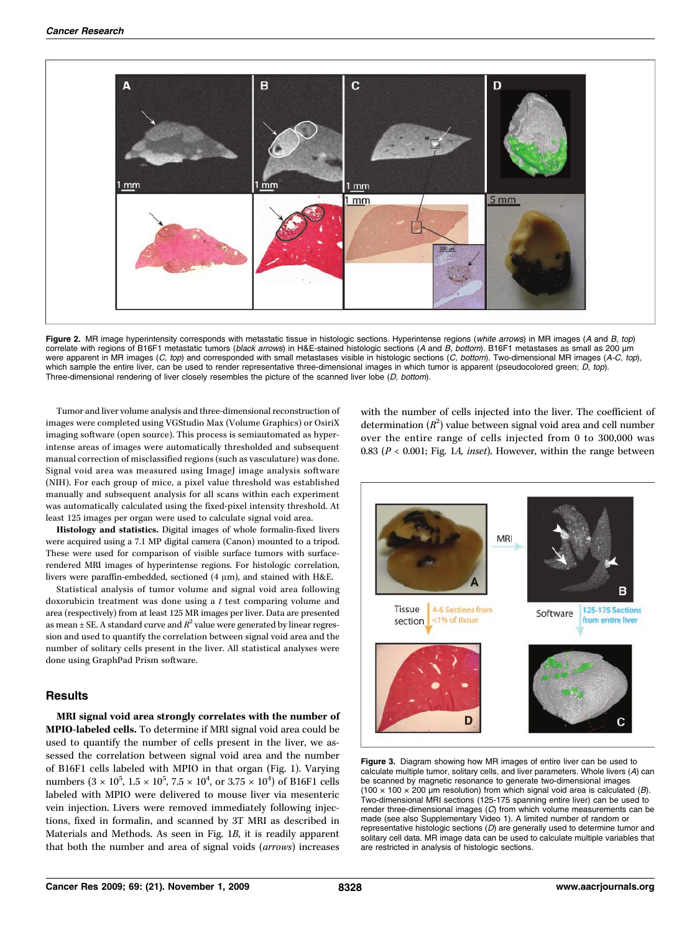

Figure 2. MR image hyperintensity corresponds with metastatic tissue in histologic sections. Hyperintense regions (white arrows) in MR images (A and B, top) correlate with regions of B16F1 metastatic tumors (black arrows) in H&E-stained histologic sections (A and B, bottom). B16F1 metastases as small as 200 μm were apparent in MR images (C, top) and corresponded with small metastases visible in histologic sections (C, bottom). Two-dimensional MR images (A-C, top), which sample the entire liver, can be used to render representative three-dimensional images in which tumor is apparent (pseudocolored green; D, top). Three-dimensional rendering of liver closely resembles the picture of the scanned liver lobe (D, bottom).

Tumor and liver volume analysis and three-dimensional reconstruction of images were completed using VGStudio Max (Volume Graphics) or OsiriX imaging software (open source). This process is semiautomated as hyperintense areas of images were automatically thresholded and subsequent manual correction of misclassified regions (such as vasculature) was done. Signal void area was measured using ImageJ image analysis software (NIH). For each group of mice, a pixel value threshold was established manually and subsequent analysis for all scans within each experiment was automatically calculated using the fixed-pixel intensity threshold. At least 125 images per organ were used to calculate signal void area.

Histology and statistics. Digital images of whole formalin-fixed livers were acquired using a 7.1 MP digital camera (Canon) mounted to a tripod. These were used for comparison of visible surface tumors with surfacerendered MRI images of hyperintense regions. For histologic correlation, livers were paraffin-embedded, sectioned (4 μm), and stained with H&E.

Statistical analysis of tumor volume and signal void area following doxorubicin treatment was done using a t test comparing volume and area (respectively) from at least 125 MR images per liver. Data are presented as mean  $\pm$  SE. A standard curve and  $R^2$  value were generated by linear regression and used to quantify the correlation between signal void area and the number of solitary cells present in the liver. All statistical analyses were done using GraphPad Prism software.

#### **Results**

MRI signal void area strongly correlates with the number of MPIO-labeled cells. To determine if MRI signal void area could be used to quantify the number of cells present in the liver, we assessed the correlation between signal void area and the number of B16F1 cells labeled with MPIO in that organ (Fig. 1). Varying numbers  $(3 \times 10^5, 1.5 \times 10^5, 7.5 \times 10^4, \text{ or } 3.75 \times 10^4)$  of B16F1 cells labeled with MPIO were delivered to mouse liver via mesenteric vein injection. Livers were removed immediately following injections, fixed in formalin, and scanned by 3T MRI as described in Materials and Methods. As seen in Fig. 1B, it is readily apparent that both the number and area of signal voids (arrows) increases

with the number of cells injected into the liver. The coefficient of determination  $(R^2)$  value between signal void area and cell number over the entire range of cells injected from 0 to 300,000 was 0.83 ( $P < 0.001$ ; Fig. 1A, inset). However, within the range between



Figure 3. Diagram showing how MR images of entire liver can be used to calculate multiple tumor, solitary cells, and liver parameters. Whole livers (A) can be scanned by magnetic resonance to generate two-dimensional images (100  $\times$  100  $\times$  200 µm resolution) from which signal void area is calculated (*B*). Two-dimensional MRI sections (125-175 spanning entire liver) can be used to render three-dimensional images (C) from which volume measurements can be made (see also Supplementary Video 1). Alimited number of random or representative histologic sections (D) are generally used to determine tumor and solitary cell data. MR image data can be used to calculate multiple variables that are restricted in analysis of histologic sections.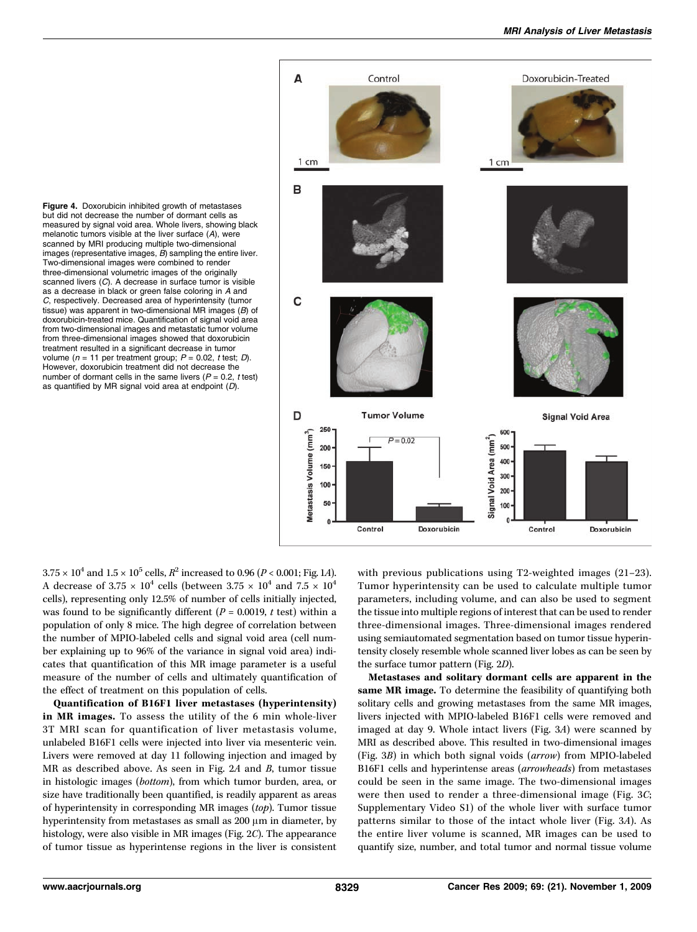

Figure 4. Doxorubicin inhibited growth of metastases but did not decrease the number of dormant cells as measured by signal void area. Whole livers, showing black melanotic tumors visible at the liver surface (A), were scanned by MRI producing multiple two-dimensional images (representative images, B) sampling the entire liver. Two-dimensional images were combined to render three-dimensional volumetric images of the originally scanned livers  $(C)$ . A decrease in surface tumor is visible as a decrease in black or green false coloring in A and C, respectively. Decreased area of hyperintensity (tumor tissue) was apparent in two-dimensional MR images (B) of doxorubicin-treated mice. Quantification of signal void area from two-dimensional images and metastatic tumor volume from three-dimensional images showed that doxorubicin treatment resulted in a significant decrease in tumor volume ( $n = 11$  per treatment group;  $P = 0.02$ , t test; D). However, doxorubicin treatment did not decrease the number of dormant cells in the same livers  $(P = 0.2, t \text{ test})$ as quantified by MR signal void area at endpoint (D).

 $3.75 \times 10^4$  and  $1.5 \times 10^5$  cells,  $R^2$  increased to 0.96 (P < 0.001; Fig. 1A). A decrease of 3.75  $\times$  10<sup>4</sup> cells (between 3.75  $\times$  10<sup>4</sup> and 7.5  $\times$  10<sup>4</sup> cells), representing only 12.5% of number of cells initially injected, was found to be significantly different ( $P = 0.0019$ , t test) within a population of only 8 mice. The high degree of correlation between the number of MPIO-labeled cells and signal void area (cell number explaining up to 96% of the variance in signal void area) indicates that quantification of this MR image parameter is a useful measure of the number of cells and ultimately quantification of the effect of treatment on this population of cells.

Quantification of B16F1 liver metastases (hyperintensity) in MR images. To assess the utility of the 6 min whole-liver 3T MRI scan for quantification of liver metastasis volume, unlabeled B16F1 cells were injected into liver via mesenteric vein. Livers were removed at day 11 following injection and imaged by MR as described above. As seen in Fig. 2A and B, tumor tissue in histologic images (bottom), from which tumor burden, area, or size have traditionally been quantified, is readily apparent as areas of hyperintensity in corresponding MR images (top). Tumor tissue hyperintensity from metastases as small as 200 μm in diameter, by histology, were also visible in MR images (Fig. 2C). The appearance of tumor tissue as hyperintense regions in the liver is consistent with previous publications using T2-weighted images (21–23). Tumor hyperintensity can be used to calculate multiple tumor parameters, including volume, and can also be used to segment the tissue into multiple regions of interest that can be used to render three-dimensional images. Three-dimensional images rendered using semiautomated segmentation based on tumor tissue hyperintensity closely resemble whole scanned liver lobes as can be seen by the surface tumor pattern (Fig. 2D).

Metastases and solitary dormant cells are apparent in the same MR image. To determine the feasibility of quantifying both solitary cells and growing metastases from the same MR images, livers injected with MPIO-labeled B16F1 cells were removed and imaged at day 9. Whole intact livers (Fig. 3A) were scanned by MRI as described above. This resulted in two-dimensional images (Fig. 3B) in which both signal voids (arrow) from MPIO-labeled B16F1 cells and hyperintense areas (arrowheads) from metastases could be seen in the same image. The two-dimensional images were then used to render a three-dimensional image (Fig. 3C; Supplementary Video S1) of the whole liver with surface tumor patterns similar to those of the intact whole liver (Fig. 3A). As the entire liver volume is scanned, MR images can be used to quantify size, number, and total tumor and normal tissue volume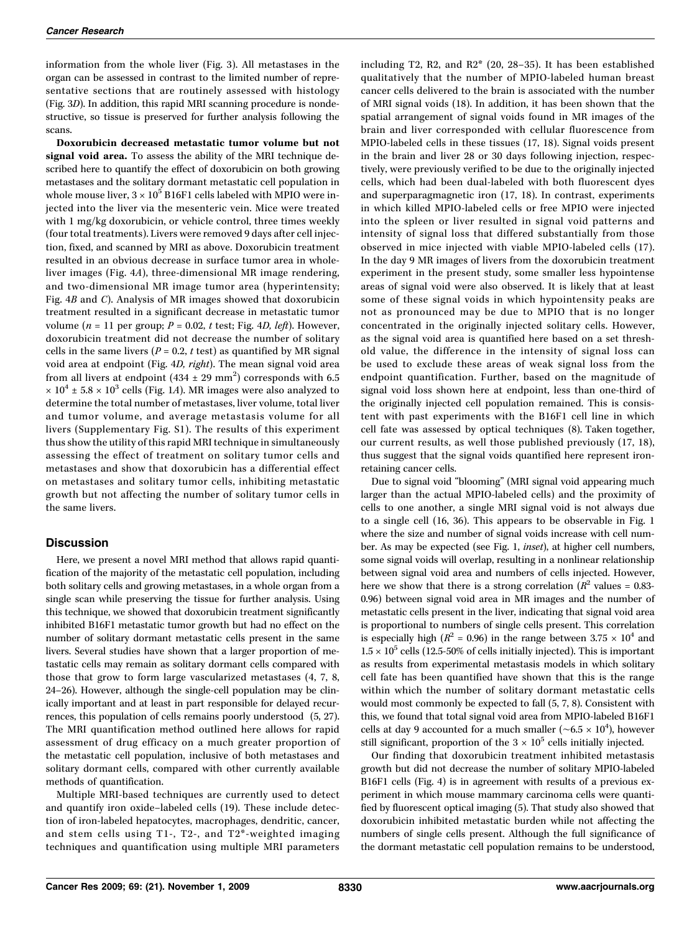information from the whole liver (Fig. 3). All metastases in the organ can be assessed in contrast to the limited number of representative sections that are routinely assessed with histology (Fig. 3D). In addition, this rapid MRI scanning procedure is nondestructive, so tissue is preserved for further analysis following the scans.

Doxorubicin decreased metastatic tumor volume but not signal void area. To assess the ability of the MRI technique described here to quantify the effect of doxorubicin on both growing metastases and the solitary dormant metastatic cell population in whole mouse liver,  $3 \times 10^5$  B16F1 cells labeled with MPIO were injected into the liver via the mesenteric vein. Mice were treated with 1 mg/kg doxorubicin, or vehicle control, three times weekly (four total treatments). Livers were removed 9 days after cell injection, fixed, and scanned by MRI as above. Doxorubicin treatment resulted in an obvious decrease in surface tumor area in wholeliver images (Fig. 4A), three-dimensional MR image rendering, and two-dimensional MR image tumor area (hyperintensity; Fig. 4B and C). Analysis of MR images showed that doxorubicin treatment resulted in a significant decrease in metastatic tumor volume ( $n = 11$  per group;  $P = 0.02$ ,  $t$  test; Fig. 4D, left). However, doxorubicin treatment did not decrease the number of solitary cells in the same livers ( $P = 0.2$ , t test) as quantified by MR signal void area at endpoint (Fig. 4D, right). The mean signal void area from all livers at endpoint  $(434 \pm 29 \text{ mm}^2)$  corresponds with 6.5  $\times$  10<sup>4</sup> ± 5.8  $\times$  10<sup>3</sup> cells (Fig. 1*A*). MR images were also analyzed to determine the total number of metastases, liver volume, total liver and tumor volume, and average metastasis volume for all livers (Supplementary Fig. S1). The results of this experiment thus show the utility of this rapid MRI technique in simultaneously assessing the effect of treatment on solitary tumor cells and metastases and show that doxorubicin has a differential effect on metastases and solitary tumor cells, inhibiting metastatic growth but not affecting the number of solitary tumor cells in the same livers.

#### **Discussion**

Here, we present a novel MRI method that allows rapid quantification of the majority of the metastatic cell population, including both solitary cells and growing metastases, in a whole organ from a single scan while preserving the tissue for further analysis. Using this technique, we showed that doxorubicin treatment significantly inhibited B16F1 metastatic tumor growth but had no effect on the number of solitary dormant metastatic cells present in the same livers. Several studies have shown that a larger proportion of metastatic cells may remain as solitary dormant cells compared with those that grow to form large vascularized metastases (4, 7, 8, 24–26). However, although the single-cell population may be clinically important and at least in part responsible for delayed recurrences, this population of cells remains poorly understood (5, 27). The MRI quantification method outlined here allows for rapid assessment of drug efficacy on a much greater proportion of the metastatic cell population, inclusive of both metastases and solitary dormant cells, compared with other currently available methods of quantification.

Multiple MRI-based techniques are currently used to detect and quantify iron oxide–labeled cells (19). These include detection of iron-labeled hepatocytes, macrophages, dendritic, cancer, and stem cells using T1-, T2-, and T2\*-weighted imaging techniques and quantification using multiple MRI parameters

including T2, R2, and R2\* (20, 28–35). It has been established qualitatively that the number of MPIO-labeled human breast cancer cells delivered to the brain is associated with the number of MRI signal voids (18). In addition, it has been shown that the spatial arrangement of signal voids found in MR images of the brain and liver corresponded with cellular fluorescence from MPIO-labeled cells in these tissues (17, 18). Signal voids present in the brain and liver 28 or 30 days following injection, respectively, were previously verified to be due to the originally injected cells, which had been dual-labeled with both fluorescent dyes and superparagmagnetic iron (17, 18). In contrast, experiments in which killed MPIO-labeled cells or free MPIO were injected into the spleen or liver resulted in signal void patterns and intensity of signal loss that differed substantially from those observed in mice injected with viable MPIO-labeled cells (17). In the day 9 MR images of livers from the doxorubicin treatment experiment in the present study, some smaller less hypointense areas of signal void were also observed. It is likely that at least some of these signal voids in which hypointensity peaks are not as pronounced may be due to MPIO that is no longer concentrated in the originally injected solitary cells. However, as the signal void area is quantified here based on a set threshold value, the difference in the intensity of signal loss can be used to exclude these areas of weak signal loss from the endpoint quantification. Further, based on the magnitude of signal void loss shown here at endpoint, less than one-third of the originally injected cell population remained. This is consistent with past experiments with the B16F1 cell line in which cell fate was assessed by optical techniques (8). Taken together, our current results, as well those published previously (17, 18), thus suggest that the signal voids quantified here represent ironretaining cancer cells.

Due to signal void "blooming" (MRI signal void appearing much larger than the actual MPIO-labeled cells) and the proximity of cells to one another, a single MRI signal void is not always due to a single cell (16, 36). This appears to be observable in Fig. 1 where the size and number of signal voids increase with cell number. As may be expected (see Fig. 1, inset), at higher cell numbers, some signal voids will overlap, resulting in a nonlinear relationship between signal void area and numbers of cells injected. However, here we show that there is a strong correlation ( $R^2$  values = 0.83-0.96) between signal void area in MR images and the number of metastatic cells present in the liver, indicating that signal void area is proportional to numbers of single cells present. This correlation is especially high ( $R^2$  = 0.96) in the range between 3.75  $\times$  10<sup>4</sup> and  $1.5 \times 10^5$  cells (12.5-50% of cells initially injected). This is important as results from experimental metastasis models in which solitary cell fate has been quantified have shown that this is the range within which the number of solitary dormant metastatic cells would most commonly be expected to fall (5, 7, 8). Consistent with this, we found that total signal void area from MPIO-labeled B16F1 cells at day 9 accounted for a much smaller (~ $6.5 \times 10^4$ ), however still significant, proportion of the  $3 \times 10^5$  cells initially injected.

Our finding that doxorubicin treatment inhibited metastasis growth but did not decrease the number of solitary MPIO-labeled B16F1 cells (Fig. 4) is in agreement with results of a previous experiment in which mouse mammary carcinoma cells were quantified by fluorescent optical imaging (5). That study also showed that doxorubicin inhibited metastatic burden while not affecting the numbers of single cells present. Although the full significance of the dormant metastatic cell population remains to be understood,